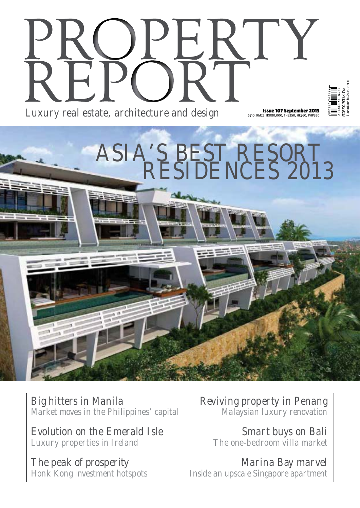## Luxury real estate, architecture and design S\$10, RM25, IDR80,000, THB250, HK\$60, PHP350

ASIA'S BEST RESORT

RESIDENCES 2013



Big hitters in Manila Market moves in the Philippines' capital

Evolution on the Emerald Isle Luxury properties in Ireland

The peak of prosperity Honk Kong investment hotspots Reviving property in Penang Malaysian luxury renovation

> Smart buys on Bali The one-bedroom villa market

Marina Bay marvel Inside an upscale Singapore apartment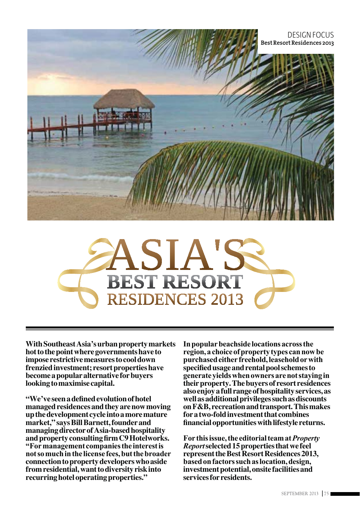



With Southeast Asia's urban property markets hot to the point where governments have to impose restrictive measures to cool down frenzied investment; resort properties have become a popular alternative for buyers looking to maximise capital.

"We've seen a defined evolution of hotel managed residences and they are now moving up the development cycle into a more mature market," says Bill Barnett, founder and managing director of Asia-based hospitality and property consulting firm C9 Hotelworks. "For management companies the interest is not so much in the license fees, but the broader connection to property developers who aside from residential, want to diversity risk into recurring hotel operating properties."

In popular beachside locations across the region, a choice of property types can now be purchased either freehold, leasehold or with specified usage and rental pool schemes to generate yields when owners are not staying in their property. The buyers of resort residences also enjoy a full range of hospitality services, as well as additional privileges such as discounts on F&B, recreation and transport. This makes for a two-fold investment that combines financial opportunities with lifestyle returns.

For this issue, the editorial team at *Property Report* selected 15 properties that we feel represent the Best Resort Residences 2013, based on factors such as location, design, investment potential, onsite facilities and services for residents.